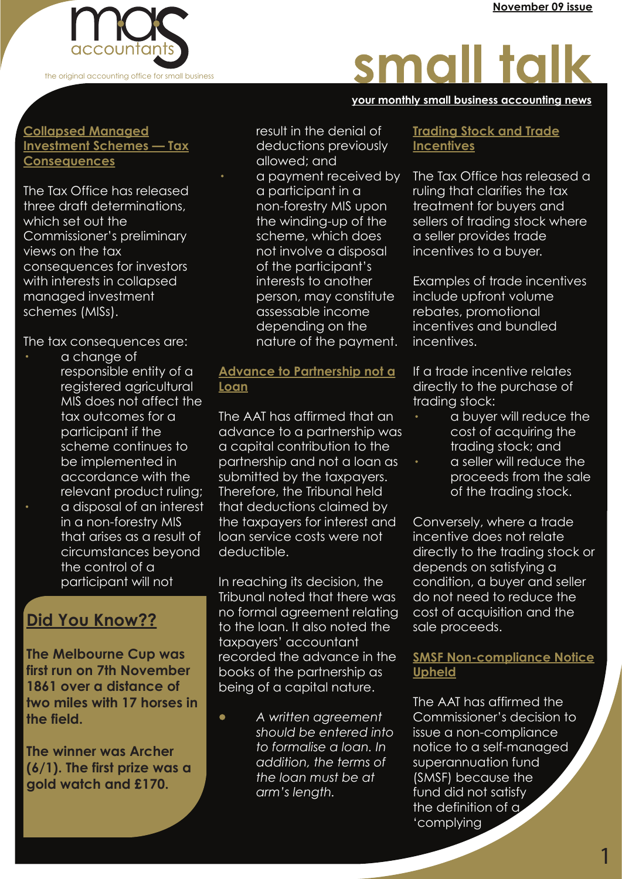

# small talk

#### **your monthly small business accounting news your monthly small business accounting news your monthly small business accounting news**

#### **Collapsed Managed Investment Schemes — Tax Consequences**

The Tax Office has released three draft determinations, which set out the Commissioner's preliminary views on the tax consequences for investors with interests in collapsed managed investment schemes (MISs).

The tax consequences are:

a change of responsible entity of a registered agricultural MIS does not affect the tax outcomes for a participant if the scheme continues to be implemented in accordance with the relevant product ruling; · a disposal of an interest in a non-forestry MIS that arises as a result of circumstances beyond the control of a participant will not

## **Did You Know??**

**The Melbourne Cup was first run on 7th November 1861 over a distance of two miles with 17 horses in the field.**

**The winner was Archer (6/1). The first prize was a gold watch and £170.** 

 result in the denial of deductions previously allowed; and a payment received by a participant in a non-forestry MIS upon the winding-up of the scheme, which does not involve a disposal of the participant's interests to another person, may constitute assessable income depending on the nature of the payment.

### **Advance to Partnership not a Loan**

The AAT has affirmed that an advance to a partnership was a capital contribution to the partnership and not a loan as submitted by the taxpayers. Therefore, the Tribunal held that deductions claimed by the taxpayers for interest and loan service costs were not deductible.

In reaching its decision, the Tribunal noted that there was no formal agreement relating to the loan. It also noted the taxpayers' accountant recorded the advance in the books of the partnership as being of a capital nature.

· *A written agreement should be entered into to formalise a loan. In addition, the terms of the loan must be at arm's length.*

#### **Trading Stock and Trade Incentives**

The Tax Office has released a ruling that clarifies the tax treatment for buyers and sellers of trading stock where a seller provides trade incentives to a buyer.

Examples of trade incentives include upfront volume rebates, promotional incentives and bundled incentives.

If a trade incentive relates directly to the purchase of trading stock:

- · a buyer will reduce the cost of acquiring the trading stock; and
- a seller will reduce the proceeds from the sale of the trading stock.

Conversely, where a trade incentive does not relate directly to the trading stock or depends on satisfying a condition, a buyer and seller do not need to reduce the cost of acquisition and the sale proceeds.

### **SMSF Non-compliance Notice Upheld**

The AAT has affirmed the Commissioner's decision to issue a non-compliance notice to a self-managed superannuation fund (SMSF) because the fund did not satisfy the definition of a 'complying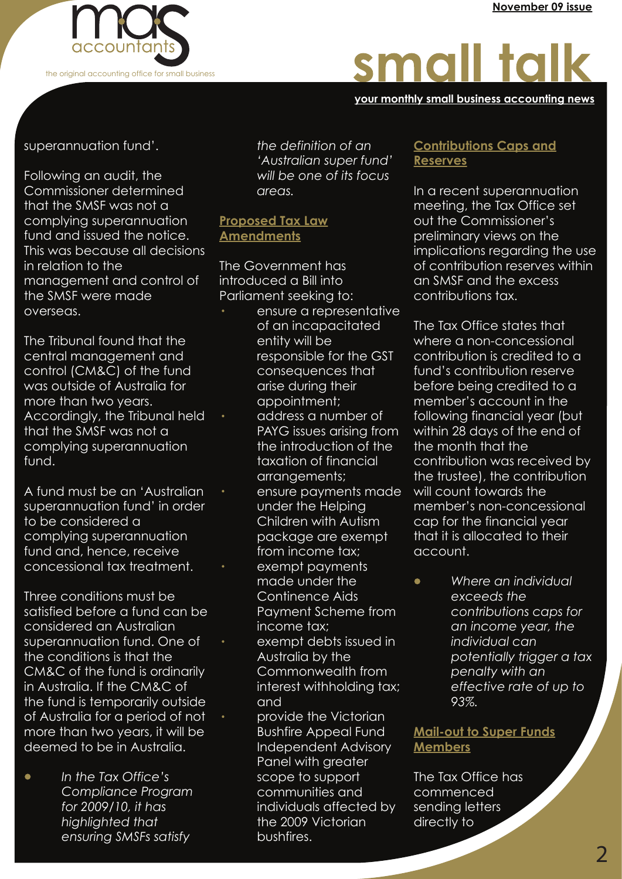

# small talk

#### **your monthly small business accounting news your monthly small business accounting news your monthly small business accounting news**

superannuation fund'.

Following an audit, the Commissioner determined that the SMSF was not a complying superannuation fund and issued the notice. This was because all decisions in relation to the management and control of the SMSF were made overseas.

The Tribunal found that the central management and control (CM&C) of the fund was outside of Australia for more than two years. Accordingly, the Tribunal held that the SMSF was not a complying superannuation fund.

A fund must be an 'Australian superannuation fund' in order to be considered a complying superannuation fund and, hence, receive concessional tax treatment.

Three conditions must be satisfied before a fund can be considered an Australian superannuation fund. One of the conditions is that the CM&C of the fund is ordinarily in Australia. If the CM&C of the fund is temporarily outside of Australia for a period of not more than two years, it will be deemed to be in Australia.

· *In the Tax Office's Compliance Program for 2009/10, it has highlighted that ensuring SMSFs satisfy* 

 *the definition of an 'Australian super fund' will be one of its focus areas.*

### **Proposed Tax Law Amendments**

The Government has introduced a Bill into Parliament seeking to:

- ensure a representative of an incapacitated entity will be responsible for the GST consequences that arise during their appointment;
- · address a number of PAYG issues arising from the introduction of the taxation of financial arrangements;
- ensure payments made under the Helping Children with Autism package are exempt from income tax;
- exempt payments made under the Continence Aids Payment Scheme from income tax;
- exempt debts issued in Australia by the Commonwealth from interest withholding tax; and
- provide the Victorian Bushfire Appeal Fund Independent Advisory Panel with greater scope to support communities and individuals affected by the 2009 Victorian bushfires.

#### **Contributions Caps and Reserves**

In a recent superannuation meeting, the Tax Office set out the Commissioner's preliminary views on the implications regarding the use of contribution reserves within an SMSF and the excess contributions tax.

The Tax Office states that where a non-concessional contribution is credited to a fund's contribution reserve before being credited to a member's account in the following financial year (but within 28 days of the end of the month that the contribution was received by the trustee), the contribution will count towards the member's non-concessional cap for the financial year that it is allocated to their account.

· *Where an individual exceeds the contributions caps for an income year, the individual can potentially trigger a tax penalty with an effective rate of up to 93%.*

### **Mail-out to Super Funds Members**

The Tax Office has commenced sending letters directly to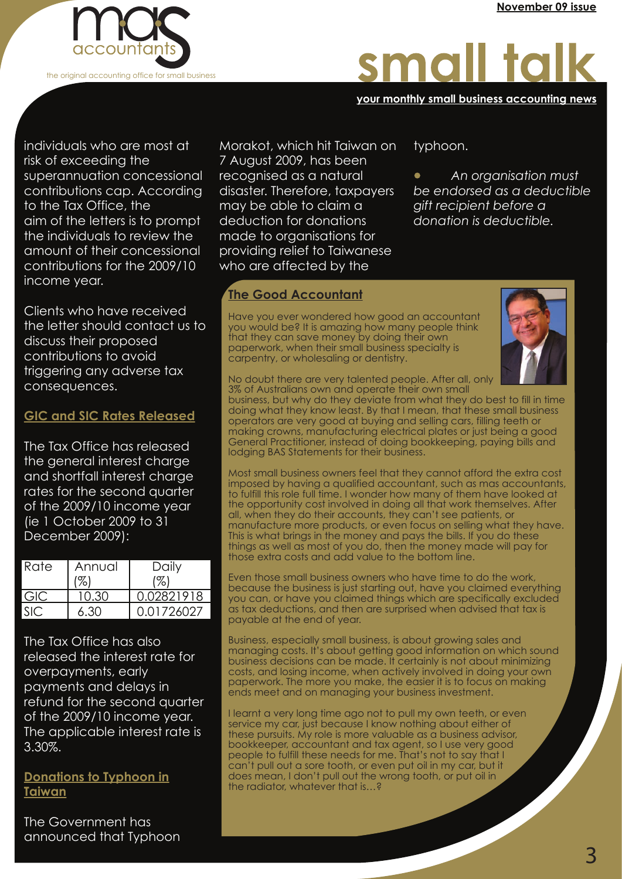

# small talk

#### **your monthly small business accounting news your monthly small business accounting news your monthly small business accounting news**

· *An organisation must be endorsed as a deductible* 

*gift recipient before a donation is deductible.*

typhoon.

individuals who are most at risk of exceeding the superannuation concessional contributions cap. According to the Tax Office, the aim of the letters is to prompt the individuals to review the amount of their concessional contributions for the 2009/10 income year.

Clients who have received the letter should contact us to discuss their proposed contributions to avoid triggering any adverse tax consequences.

#### **GIC and SIC Rates Released**

The Tax Office has released the general interest charge and shortfall interest charge rates for the second quarter of the 2009/10 income year (ie 1 October 2009 to 31 December 2009):

| <b>Rate</b> | Annual | Daily<br>%) |
|-------------|--------|-------------|
| GIC         |        | 0.02821918  |
|             | 6.30   | 0.01726027  |

The Tax Office has also released the interest rate for overpayments, early payments and delays in refund for the second quarter of the 2009/10 income year. The applicable interest rate is 3.30%.

**Donations to Typhoon in Taiwan**

The Government has announced that Typhoon

Morakot, which hit Taiwan on 7 August 2009, has been recognised as a natural disaster. Therefore, taxpayers may be able to claim a deduction for donations made to organisations for providing relief to Taiwanese who are affected by the

#### **The Good Accountant**

Have you ever wondered how good an accountant you would be? It is amazing how many people think that they can save money by doing their own paperwork, when their small business specialty is carpentry, or wholesaling or dentistry.



No doubt there are very talented people. After all, only 3% of Australians own and operate their own small

business, but why do they deviate from what they do best to fill in time doing what they know least. By that I mean, that these small business operators are very good at buying and selling cars, filling teeth or making crowns, manufacturing electrical plates or just being a good General Practitioner, instead of doing bookkeeping, paying bills and lodging BAS Statements for their business.

Most small business owners feel that they cannot afford the extra cost imposed by having a qualified accountant, such as mas accountants, to fulfill this role full time. I wonder how many of them have looked at the opportunity cost involved in doing all that work themselves. After all, when they do their accounts, they can't see patients, or manufacture more products, or even focus on selling what they have. This is what brings in the money and pays the bills. If you do these things as well as most of you do, then the money made will pay for those extra costs and add value to the bottom line.

Even those small business owners who have time to do the work, because the business is just starting out, have you claimed everything you can, or have you claimed things which are specifically excluded as tax deductions, and then are surprised when advised that tax is payable at the end of year.

Business, especially small business, is about growing sales and managing costs. It's about getting good information on which sound business decisions can be made. It certainly is not about minimizing costs, and losing income, when actively involved in doing your own paperwork. The more you make, the easier it is to focus on making ends meet and on managing your business investment.

I learnt a very long time ago not to pull my own teeth, or even service my car, just because I know nothing about either of these pursuits. My role is more valuable as a business advisor, bookkeeper, accountant and tax agent, so I use very good people to fulfill these needs for me. That's not to say that I can't pull out a sore tooth, or even put oil in my car, but it does mean, I don't pull out the wrong tooth, or put oil in the radiator, whatever that is…?